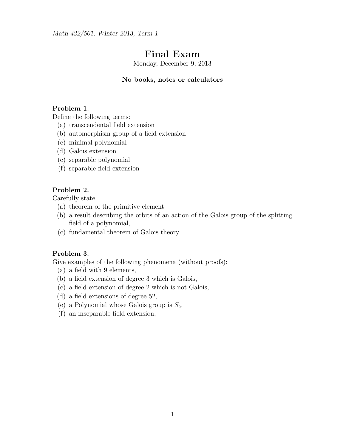Math 422/501, Winter 2013, Term 1

# Final Exam

Monday, December 9, 2013

## No books, notes or calculators

## Problem 1.

Define the following terms:

- (a) transcendental field extension
- (b) automorphism group of a field extension
- (c) minimal polynomial
- (d) Galois extension
- (e) separable polynomial
- (f) separable field extension

## Problem 2.

Carefully state:

- (a) theorem of the primitive element
- (b) a result describing the orbits of an action of the Galois group of the splitting field of a polynomial,
- (c) fundamental theorem of Galois theory

## Problem 3.

Give examples of the following phenomena (without proofs):

- (a) a field with 9 elements,
- (b) a field extension of degree 3 which is Galois,
- (c) a field extension of degree 2 which is not Galois,
- (d) a field extensions of degree 52,
- (e) a Polynomial whose Galois group is  $S_5$ ,
- (f) an inseparable field extension,